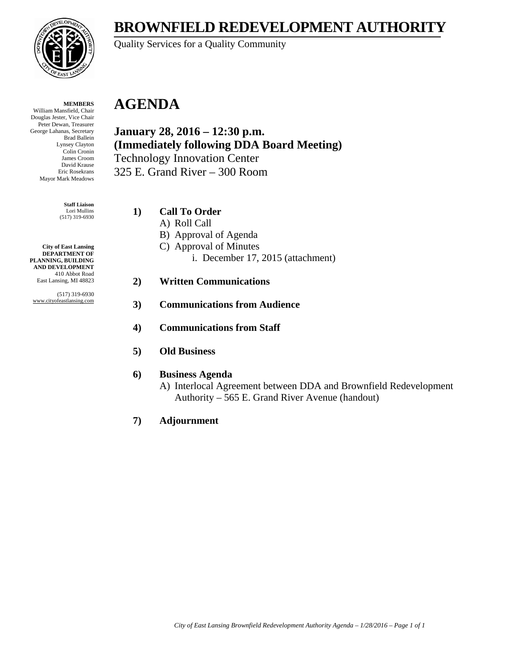## **BROWNFIELD REDEVELOPMENT AUTHORITY**

Quality Services for a Quality Community

#### **MEMBERS**

William Mansfield, Chair Douglas Jester, Vice Chair Peter Dewan, Treasurer George Lahanas, Secretary Brad Ballein Lynsey Clayton Colin Cronin James Croom David Krause Eric Rosekrans Mayor Mark Meadows

> **Staff Liaison** Lori Mullins (517) 319-6930

**City of East Lansing DEPARTMENT OF PLANNING, BUILDING AND DEVELOPMENT** 410 Abbot Road East Lansing, MI 48823

(517) 319-6930 www.cityofeastlansing.com

### **AGENDA**

**January 28, 2016 – 12:30 p.m. (Immediately following DDA Board Meeting)**  Technology Innovation Center 325 E. Grand River – 300 Room

#### **1) Call To Order**

- A) Roll Call
- B) Approval of Agenda
- C) Approval of Minutes
	- i. December 17, 2015 (attachment)

#### **2) Written Communications**

- **3) Communications from Audience**
- **4) Communications from Staff**
- **5) Old Business**

#### **6) Business Agenda**

A) Interlocal Agreement between DDA and Brownfield Redevelopment Authority – 565 E. Grand River Avenue (handout)

#### **7) Adjournment**

*City of East Lansing Brownfield Redevelopment Authority Agenda – 1/28/2016 – Page 1 of 1* 

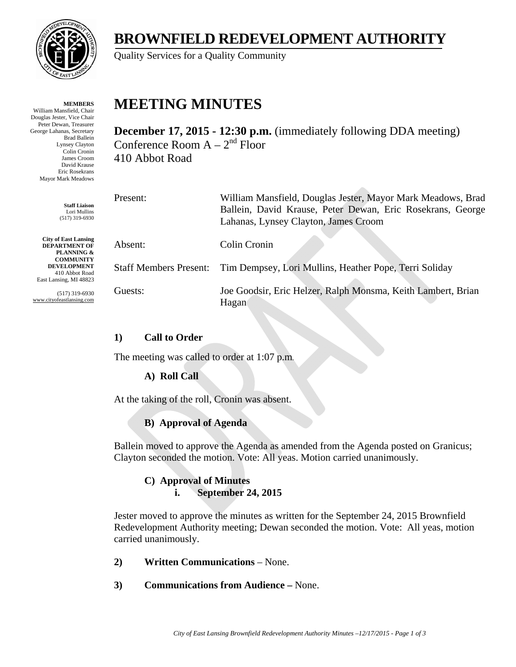

**MEMBERS**

William Mansfield, Chair Douglas Jester, Vice Chair Peter Dewan, Treasurer George Lahanas, Secretary Brad Ballein Lynsey Clayton Colin Cronin James Croom David Krause Eric Rosekrans Mayor Mark Meadows

> **Staff Liaison** Lori Mullins (517) 319-6930

**City of East Lansing DEPARTMENT OF PLANNING & COMMUNITY DEVELOPMENT** 410 Abbot Road East Lansing, MI 48823

(517) 319-6930 www.cityofeastlansing.com

# **BROWNFIELD REDEVELOPMENT AUTHORITY**

Quality Services for a Quality Community

# **MEETING MINUTES**

**December 17, 2015 - 12:30 p.m.** (immediately following DDA meeting) Conference Room  $A - 2<sup>nd</sup>$  Floor 410 Abbot Road

 $\Delta \mathcal{D}$ 

| Present:                      | William Mansfield, Douglas Jester, Mayor Mark Meadows, Brad<br>Ballein, David Krause, Peter Dewan, Eric Rosekrans, George |
|-------------------------------|---------------------------------------------------------------------------------------------------------------------------|
|                               | Lahanas, Lynsey Clayton, James Croom                                                                                      |
| Absent:                       | Colin Cronin                                                                                                              |
| <b>Staff Members Present:</b> | Tim Dempsey, Lori Mullins, Heather Pope, Terri Soliday                                                                    |
| Guests:                       | Joe Goodsir, Eric Helzer, Ralph Monsma, Keith Lambert, Brian<br>Hagan                                                     |

### **1) Call to Order**

The meeting was called to order at 1:07 p.m.

### **A) Roll Call**

At the taking of the roll, Cronin was absent.

### **B) Approval of Agenda**

Ballein moved to approve the Agenda as amended from the Agenda posted on Granicus; Clayton seconded the motion. Vote: All yeas. Motion carried unanimously.

#### **C) Approval of Minutes i. September 24, 2015**

Jester moved to approve the minutes as written for the September 24, 2015 Brownfield Redevelopment Authority meeting; Dewan seconded the motion. Vote: All yeas, motion carried unanimously.

- **2) Written Communications**  None.
- **3) Communications from Audience –** None.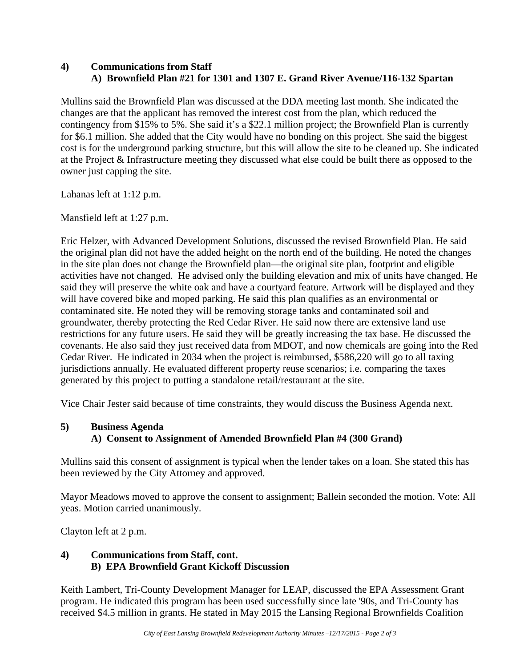#### **4) Communications from Staff A) Brownfield Plan #21 for 1301 and 1307 E. Grand River Avenue/116-132 Spartan**

Mullins said the Brownfield Plan was discussed at the DDA meeting last month. She indicated the changes are that the applicant has removed the interest cost from the plan, which reduced the contingency from \$15% to 5%. She said it's a \$22.1 million project; the Brownfield Plan is currently for \$6.1 million. She added that the City would have no bonding on this project. She said the biggest cost is for the underground parking structure, but this will allow the site to be cleaned up. She indicated at the Project & Infrastructure meeting they discussed what else could be built there as opposed to the owner just capping the site.

Lahanas left at 1:12 p.m.

Mansfield left at 1:27 p.m.

Eric Helzer, with Advanced Development Solutions, discussed the revised Brownfield Plan. He said the original plan did not have the added height on the north end of the building. He noted the changes in the site plan does not change the Brownfield plan—the original site plan, footprint and eligible activities have not changed. He advised only the building elevation and mix of units have changed. He said they will preserve the white oak and have a courtyard feature. Artwork will be displayed and they will have covered bike and moped parking. He said this plan qualifies as an environmental or contaminated site. He noted they will be removing storage tanks and contaminated soil and groundwater, thereby protecting the Red Cedar River. He said now there are extensive land use restrictions for any future users. He said they will be greatly increasing the tax base. He discussed the covenants. He also said they just received data from MDOT, and now chemicals are going into the Red Cedar River. He indicated in 2034 when the project is reimbursed, \$586,220 will go to all taxing jurisdictions annually. He evaluated different property reuse scenarios; i.e. comparing the taxes generated by this project to putting a standalone retail/restaurant at the site.

Vice Chair Jester said because of time constraints, they would discuss the Business Agenda next.

#### **5) Business Agenda A) Consent to Assignment of Amended Brownfield Plan #4 (300 Grand)**

Mullins said this consent of assignment is typical when the lender takes on a loan. She stated this has been reviewed by the City Attorney and approved.

Mayor Meadows moved to approve the consent to assignment; Ballein seconded the motion. Vote: All yeas. Motion carried unanimously.

Clayton left at 2 p.m.

### **4) Communications from Staff, cont. B) EPA Brownfield Grant Kickoff Discussion**

Keith Lambert, Tri-County Development Manager for LEAP, discussed the EPA Assessment Grant program. He indicated this program has been used successfully since late '90s, and Tri-County has received \$4.5 million in grants. He stated in May 2015 the Lansing Regional Brownfields Coalition